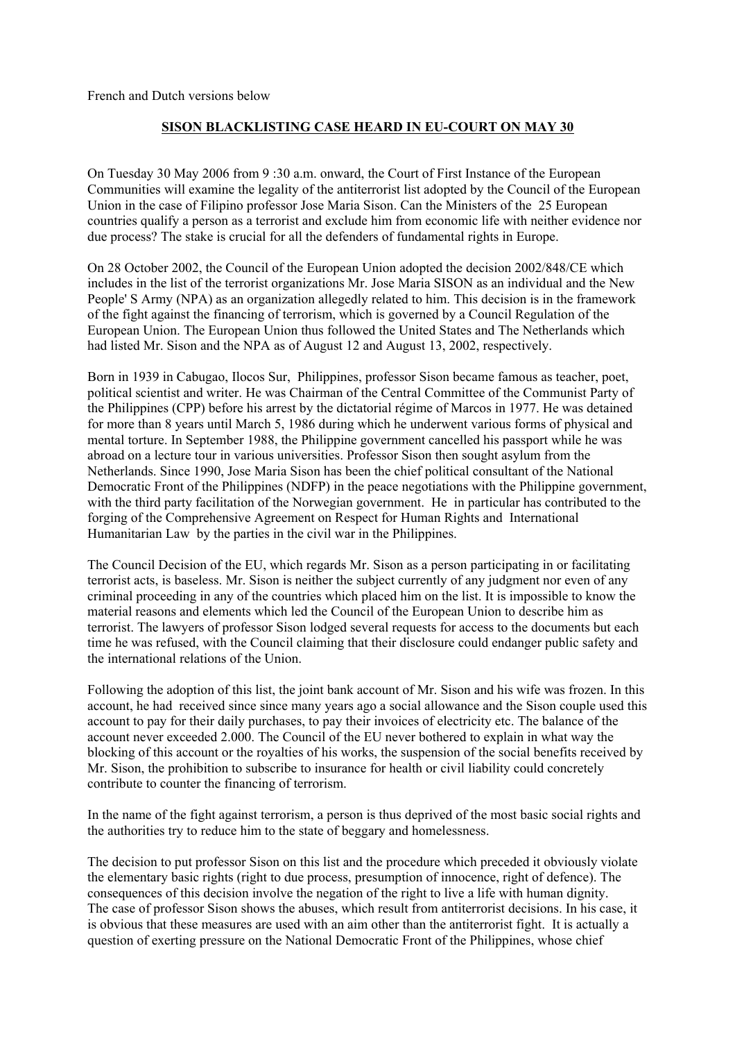French and Dutch versions below

## **SISON BLACKLISTING CASE HEARD IN EU-COURT ON MAY 30**

On Tuesday 30 May 2006 from 9 :30 a.m. onward, the Court of First Instance of the European Communities will examine the legality of the antiterrorist list adopted by the Council of the European Union in the case of Filipino professor Jose Maria Sison. Can the Ministers of the 25 European countries qualify a person as a terrorist and exclude him from economic life with neither evidence nor due process? The stake is crucial for all the defenders of fundamental rights in Europe.

On 28 October 2002, the Council of the European Union adopted the decision 2002/848/CE which includes in the list of the terrorist organizations Mr. Jose Maria SISON as an individual and the New People' S Army (NPA) as an organization allegedly related to him. This decision is in the framework of the fight against the financing of terrorism, which is governed by a Council Regulation of the European Union. The European Union thus followed the United States and The Netherlands which had listed Mr. Sison and the NPA as of August 12 and August 13, 2002, respectively.

Born in 1939 in Cabugao, Ilocos Sur, Philippines, professor Sison became famous as teacher, poet, political scientist and writer. He was Chairman of the Central Committee of the Communist Party of the Philippines (CPP) before his arrest by the dictatorial régime of Marcos in 1977. He was detained for more than 8 years until March 5, 1986 during which he underwent various forms of physical and mental torture. In September 1988, the Philippine government cancelled his passport while he was abroad on a lecture tour in various universities. Professor Sison then sought asylum from the Netherlands. Since 1990, Jose Maria Sison has been the chief political consultant of the National Democratic Front of the Philippines (NDFP) in the peace negotiations with the Philippine government, with the third party facilitation of the Norwegian government. He in particular has contributed to the forging of the Comprehensive Agreement on Respect for Human Rights and International Humanitarian Law by the parties in the civil war in the Philippines.

The Council Decision of the EU, which regards Mr. Sison as a person participating in or facilitating terrorist acts, is baseless. Mr. Sison is neither the subject currently of any judgment nor even of any criminal proceeding in any of the countries which placed him on the list. It is impossible to know the material reasons and elements which led the Council of the European Union to describe him as terrorist. The lawyers of professor Sison lodged several requests for access to the documents but each time he was refused, with the Council claiming that their disclosure could endanger public safety and the international relations of the Union.

Following the adoption of this list, the joint bank account of Mr. Sison and his wife was frozen. In this account, he had received since since many years ago a social allowance and the Sison couple used this account to pay for their daily purchases, to pay their invoices of electricity etc. The balance of the account never exceeded 2.000. The Council of the EU never bothered to explain in what way the blocking of this account or the royalties of his works, the suspension of the social benefits received by Mr. Sison, the prohibition to subscribe to insurance for health or civil liability could concretely contribute to counter the financing of terrorism.

In the name of the fight against terrorism, a person is thus deprived of the most basic social rights and the authorities try to reduce him to the state of beggary and homelessness.

The decision to put professor Sison on this list and the procedure which preceded it obviously violate the elementary basic rights (right to due process, presumption of innocence, right of defence). The consequences of this decision involve the negation of the right to live a life with human dignity. The case of professor Sison shows the abuses, which result from antiterrorist decisions. In his case, it is obvious that these measures are used with an aim other than the antiterrorist fight. It is actually a question of exerting pressure on the National Democratic Front of the Philippines, whose chief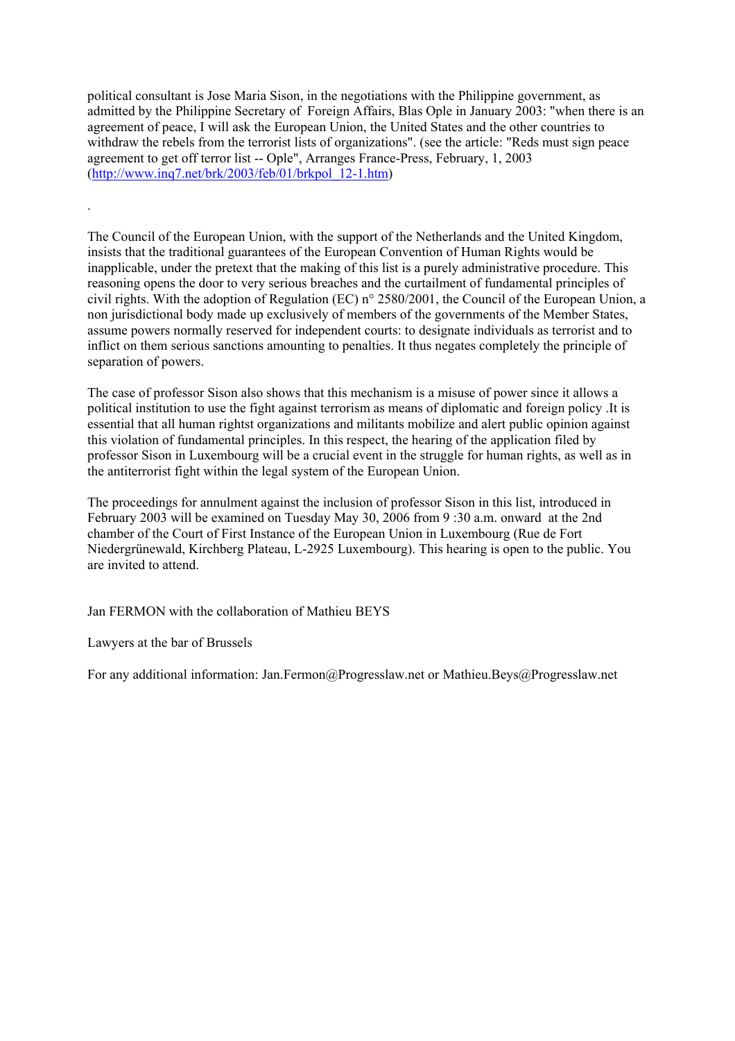political consultant is Jose Maria Sison, in the negotiations with the Philippine government, as admitted by the Philippine Secretary of Foreign Affairs, Blas Ople in January 2003: "when there is an agreement of peace, I will ask the European Union, the United States and the other countries to withdraw the rebels from the terrorist lists of organizations". (see the article: "Reds must sign peace agreement to get off terror list -- Ople", Arranges France-Press, February, 1, 2003 ([http://www.inq7.net/brk/2003/feb/01/brkpol\\_12-1.htm\)](http://www.inq7.net/brk/2003/feb/01/brkpol_12-1.htm) 

The Council of the European Union, with the support of the Netherlands and the United Kingdom, insists that the traditional guarantees of the European Convention of Human Rights would be inapplicable, under the pretext that the making of this list is a purely administrative procedure. This reasoning opens the door to very serious breaches and the curtailment of fundamental principles of civil rights. With the adoption of Regulation (EC) n° 2580/2001, the Council of the European Union, a non jurisdictional body made up exclusively of members of the governments of the Member States, assume powers normally reserved for independent courts: to designate individuals as terrorist and to inflict on them serious sanctions amounting to penalties. It thus negates completely the principle of separation of powers.

The case of professor Sison also shows that this mechanism is a misuse of power since it allows a political institution to use the fight against terrorism as means of diplomatic and foreign policy .It is essential that all human rightst organizations and militants mobilize and alert public opinion against this violation of fundamental principles. In this respect, the hearing of the application filed by professor Sison in Luxembourg will be a crucial event in the struggle for human rights, as well as in the antiterrorist fight within the legal system of the European Union.

The proceedings for annulment against the inclusion of professor Sison in this list, introduced in February 2003 will be examined on Tuesday May 30, 2006 from 9 :30 a.m. onward at the 2nd chamber of the Court of First Instance of the European Union in Luxembourg (Rue de Fort Niedergrünewald, Kirchberg Plateau, L-2925 Luxembourg). This hearing is open to the public. You are invited to attend.

Jan FERMON with the collaboration of Mathieu BEYS

Lawyers at the bar of Brussels

.

For any additional information: Jan.Fermon@Progresslaw.net or Mathieu.Beys@Progresslaw.net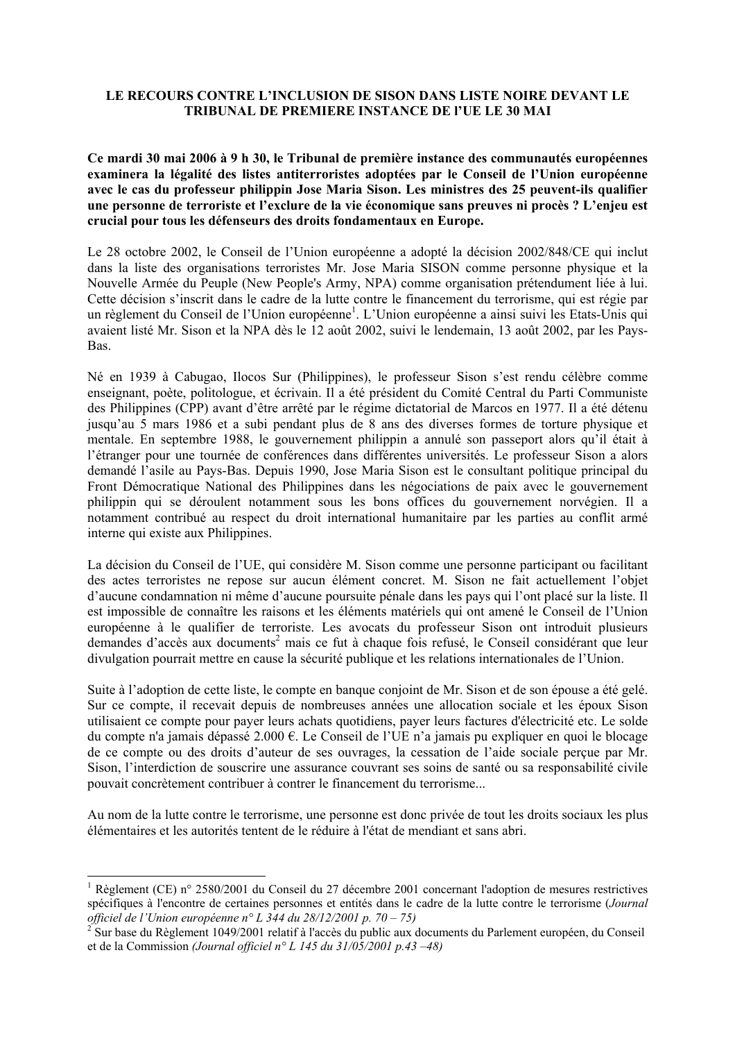## **LE RECOURS CONTRE L'INCLUSION DE SISON DANS LISTE NOIRE DEVANT LE TRIBUNAL DE PREMIERE INSTANCE DE l'UE LE 30 MAI**

**Ce mardi 30 mai 2006 à 9 h 30, le Tribunal de première instance des communautés européennes examinera la légalité des listes antiterroristes adoptées par le Conseil de l'Union européenne avec le cas du professeur philippin Jose Maria Sison. Les ministres des 25 peuvent-ils qualifier une personne de terroriste et l'exclure de la vie économique sans preuves ni procès ? L'enjeu est crucial pour tous les défenseurs des droits fondamentaux en Europe.** 

Le 28 octobre 2002, le Conseil de l'Union européenne a adopté la décision 2002/848/CE qui inclut dans la liste des organisations terroristes Mr. Jose Maria SISON comme personne physique et la Nouvelle Armée du Peuple (New People's Army, NPA) comme organisation prétendument liée à lui. Cette décision s'inscrit dans le cadre de la lutte contre le financement du terrorisme, qui est régie par un règlement du Conseil de l'Union européenne<sup>1</sup>. L'Union européenne a ainsi suivi les Etats-Unis qui avaient listé Mr. Sison et la NPA dès le 12 août 2002, suivi le lendemain, 13 août 2002, par les Pays-Bas.

Né en 1939 à Cabugao, Ilocos Sur (Philippines), le professeur Sison s'est rendu célèbre comme enseignant, poète, politologue, et écrivain. Il a été président du Comité Central du Parti Communiste des Philippines (CPP) avant d'être arrêté par le régime dictatorial de Marcos en 1977. Il a été détenu jusqu'au 5 mars 1986 et a subi pendant plus de 8 ans des diverses formes de torture physique et mentale. En septembre 1988, le gouvernement philippin a annulé son passeport alors qu'il était à l'étranger pour une tournée de conférences dans différentes universités. Le professeur Sison a alors demandé l'asile au Pays-Bas. Depuis 1990, Jose Maria Sison est le consultant politique principal du Front Démocratique National des Philippines dans les négociations de paix avec le gouvernement philippin qui se déroulent notamment sous les bons offices du gouvernement norvégien. Il a notamment contribué au respect du droit international humanitaire par les parties au conflit armé interne qui existe aux Philippines.

La décision du Conseil de l'UE, qui considère M. Sison comme une personne participant ou facilitant des actes terroristes ne repose sur aucun élément concret. M. Sison ne fait actuellement l'objet d'aucune condamnation ni même d'aucune poursuite pénale dans les pays qui l'ont placé sur la liste. Il est impossible de connaître les raisons et les éléments matériels qui ont amené le Conseil de l'Union européenne à le qualifier de terroriste. Les avocats du professeur Sison ont introduit plusieurs demandes d'accès aux documents<sup>2</sup> mais ce fut à chaque fois refusé, le Conseil considérant que leur divulgation pourrait mettre en cause la sécurité publique et les relations internationales de l'Union.

Suite à l'adoption de cette liste, le compte en banque conjoint de Mr. Sison et de son épouse a été gelé. Sur ce compte, il recevait depuis de nombreuses années une allocation sociale et les époux Sison utilisaient ce compte pour payer leurs achats quotidiens, payer leurs factures d'électricité etc. Le solde du compte n'a jamais dépassé 2.000 €. Le Conseil de l'UE n'a jamais pu expliquer en quoi le blocage de ce compte ou des droits d'auteur de ses ouvrages, la cessation de l'aide sociale perçue par Mr. Sison, l'interdiction de souscrire une assurance couvrant ses soins de santé ou sa responsabilité civile pouvait concrètement contribuer à contrer le financement du terrorisme...

Au nom de la lutte contre le terrorisme, une personne est donc privée de tout les droits sociaux les plus élémentaires et les autorités tentent de le réduire à l'état de mendiant et sans abri.

-

<sup>&</sup>lt;sup>1</sup> Règlement (CE) n° 2580/2001 du Conseil du 27 décembre 2001 concernant l'adoption de mesures restrictives spécifiques à l'encontre de certaines personnes et entités dans le cadre de la lutte contre le terrorisme (*Journal officiel de l'Union européenne n° L 344 du 28/12/2001 p. 70 – 75)*

<sup>2</sup> Sur base du Règlement 1049/2001 relatif à l'accès du public aux documents du Parlement européen, du Conseil et de la Commission *(Journal officiel n° L 145 du 31/05/2001 p.43 –48)*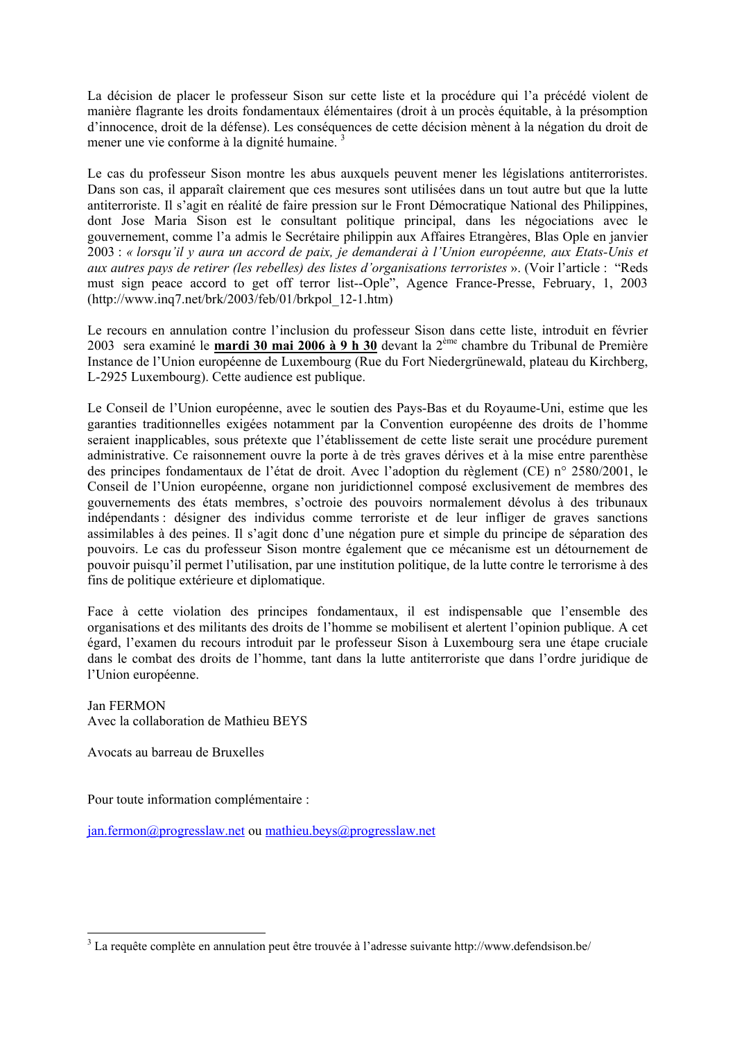La décision de placer le professeur Sison sur cette liste et la procédure qui l'a précédé violent de manière flagrante les droits fondamentaux élémentaires (droit à un procès équitable, à la présomption d'innocence, droit de la défense). Les conséquences de cette décision mènent à la négation du droit de mener une vie conforme à la dignité humaine.<sup>3</sup>

Le cas du professeur Sison montre les abus auxquels peuvent mener les législations antiterroristes. Dans son cas, il apparaît clairement que ces mesures sont utilisées dans un tout autre but que la lutte antiterroriste. Il s'agit en réalité de faire pression sur le Front Démocratique National des Philippines, dont Jose Maria Sison est le consultant politique principal, dans les négociations avec le gouvernement, comme l'a admis le Secrétaire philippin aux Affaires Etrangères, Blas Ople en janvier 2003 : *« lorsqu'il y aura un accord de paix, je demanderai à l'Union européenne, aux Etats-Unis et aux autres pays de retirer (les rebelles) des listes d'organisations terroristes* ». (Voir l'article : "Reds must sign peace accord to get off terror list--Ople", Agence France-Presse, February, 1, 2003 ([http://www.inq7.net/brk/2003/feb/01/brkpol\\_12-1.htm\)](http://www.inq7.net/brk/2003/feb/01/brkpol_12-1.htm)

Le recours en annulation contre l'inclusion du professeur Sison dans cette liste, introduit en février 2003 sera examiné le **mardi 30 mai 2006 à 9 h 30** devant la 2ème chambre du Tribunal de Première Instance de l'Union européenne de Luxembourg (Rue du Fort Niedergrünewald, plateau du Kirchberg, L-2925 Luxembourg). Cette audience est publique.

Le Conseil de l'Union européenne, avec le soutien des Pays-Bas et du Royaume-Uni, estime que les garanties traditionnelles exigées notamment par la Convention européenne des droits de l'homme seraient inapplicables, sous prétexte que l'établissement de cette liste serait une procédure purement administrative. Ce raisonnement ouvre la porte à de très graves dérives et à la mise entre parenthèse des principes fondamentaux de l'état de droit. Avec l'adoption du règlement (CE) n° 2580/2001, le Conseil de l'Union européenne, organe non juridictionnel composé exclusivement de membres des gouvernements des états membres, s'octroie des pouvoirs normalement dévolus à des tribunaux indépendants : désigner des individus comme terroriste et de leur infliger de graves sanctions assimilables à des peines. Il s'agit donc d'une négation pure et simple du principe de séparation des pouvoirs. Le cas du professeur Sison montre également que ce mécanisme est un détournement de pouvoir puisqu'il permet l'utilisation, par une institution politique, de la lutte contre le terrorisme à des fins de politique extérieure et diplomatique.

Face à cette violation des principes fondamentaux, il est indispensable que l'ensemble des organisations et des militants des droits de l'homme se mobilisent et alertent l'opinion publique. A cet égard, l'examen du recours introduit par le professeur Sison à Luxembourg sera une étape cruciale dans le combat des droits de l'homme, tant dans la lutte antiterroriste que dans l'ordre juridique de l'Union européenne.

Jan FERMON Avec la collaboration de Mathieu BEYS

Avocats au barreau de Bruxelles

Pour toute information complémentaire :

jan.fermon@progresslaw.net ou mathieu.beys@progresslaw.net

 3 La requête complète en annulation peut être trouvée à l'adresse suivante <http://www.defendsison.be/>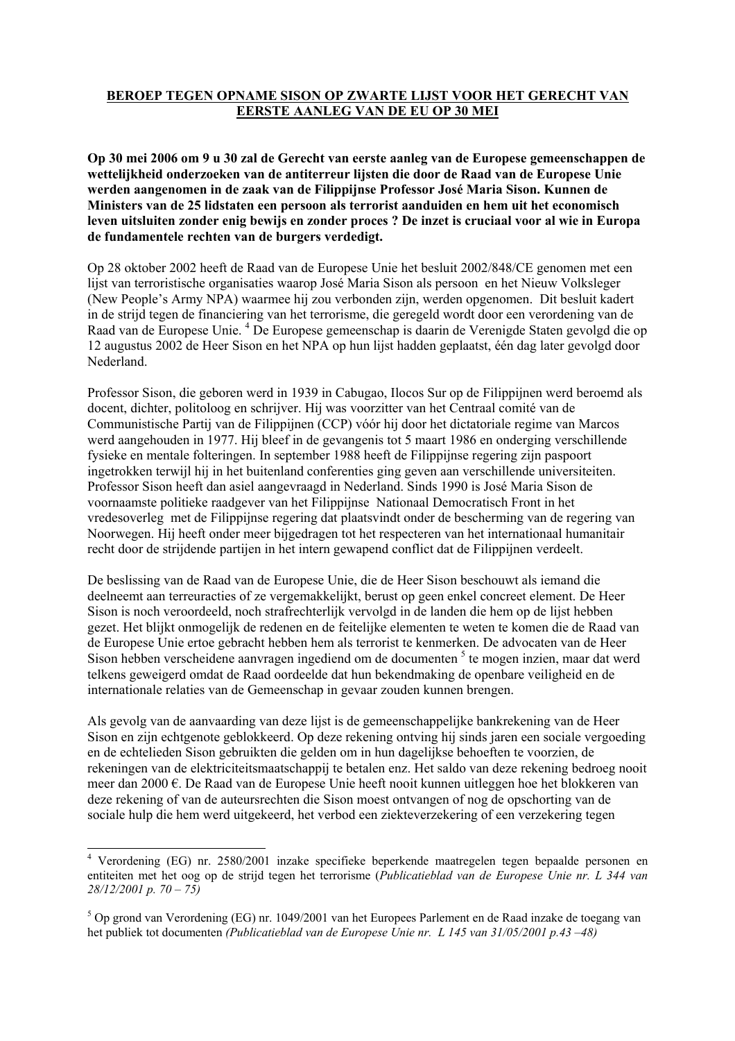## **BEROEP TEGEN OPNAME SISON OP ZWARTE LIJST VOOR HET GERECHT VAN EERSTE AANLEG VAN DE EU OP 30 MEI**

**Op 30 mei 2006 om 9 u 30 zal de Gerecht van eerste aanleg van de Europese gemeenschappen de wettelijkheid onderzoeken van de antiterreur lijsten die door de Raad van de Europese Unie werden aangenomen in de zaak van de Filippijnse Professor José Maria Sison. Kunnen de Ministers van de 25 lidstaten een persoon als terrorist aanduiden en hem uit het economisch leven uitsluiten zonder enig bewijs en zonder proces ? De inzet is cruciaal voor al wie in Europa de fundamentele rechten van de burgers verdedigt.** 

Op 28 oktober 2002 heeft de Raad van de Europese Unie het besluit 2002/848/CE genomen met een lijst van terroristische organisaties waarop José Maria Sison als persoon en het Nieuw Volksleger (New People's Army NPA) waarmee hij zou verbonden zijn, werden opgenomen. Dit besluit kadert in de strijd tegen de financiering van het terrorisme, die geregeld wordt door een verordening van de Raad van de Europese Unie.<sup>4</sup> De Europese gemeenschap is daarin de Verenigde Staten gevolgd die op 12 augustus 2002 de Heer Sison en het NPA op hun lijst hadden geplaatst, één dag later gevolgd door Nederland.

Professor Sison, die geboren werd in 1939 in Cabugao, Ilocos Sur op de Filippijnen werd beroemd als docent, dichter, politoloog en schrijver. Hij was voorzitter van het Centraal comité van de Communistische Partij van de Filippijnen (CCP) vóór hij door het dictatoriale regime van Marcos werd aangehouden in 1977. Hij bleef in de gevangenis tot 5 maart 1986 en onderging verschillende fysieke en mentale folteringen. In september 1988 heeft de Filippijnse regering zijn paspoort ingetrokken terwijl hij in het buitenland conferenties ging geven aan verschillende universiteiten. Professor Sison heeft dan asiel aangevraagd in Nederland. Sinds 1990 is José Maria Sison de voornaamste politieke raadgever van het Filippijnse Nationaal Democratisch Front in het vredesoverleg met de Filippijnse regering dat plaatsvindt onder de bescherming van de regering van Noorwegen. Hij heeft onder meer bijgedragen tot het respecteren van het internationaal humanitair recht door de strijdende partijen in het intern gewapend conflict dat de Filippijnen verdeelt.

De beslissing van de Raad van de Europese Unie, die de Heer Sison beschouwt als iemand die deelneemt aan terreuracties of ze vergemakkelijkt, berust op geen enkel concreet element. De Heer Sison is noch veroordeeld, noch strafrechterlijk vervolgd in de landen die hem op de lijst hebben gezet. Het blijkt onmogelijk de redenen en de feitelijke elementen te weten te komen die de Raad van de Europese Unie ertoe gebracht hebben hem als terrorist te kenmerken. De advocaten van de Heer Sison hebben verscheidene aanvragen ingediend om de documenten<sup>5</sup> te mogen inzien, maar dat werd telkens geweigerd omdat de Raad oordeelde dat hun bekendmaking de openbare veiligheid en de internationale relaties van de Gemeenschap in gevaar zouden kunnen brengen.

Als gevolg van de aanvaarding van deze lijst is de gemeenschappelijke bankrekening van de Heer Sison en zijn echtgenote geblokkeerd. Op deze rekening ontving hij sinds jaren een sociale vergoeding en de echtelieden Sison gebruikten die gelden om in hun dagelijkse behoeften te voorzien, de rekeningen van de elektriciteitsmaatschappij te betalen enz. Het saldo van deze rekening bedroeg nooit meer dan 2000 €. De Raad van de Europese Unie heeft nooit kunnen uitleggen hoe het blokkeren van deze rekening of van de auteursrechten die Sison moest ontvangen of nog de opschorting van de sociale hulp die hem werd uitgekeerd, het verbod een ziekteverzekering of een verzekering tegen

 4 Verordening (EG) nr. 2580/2001 inzake specifieke beperkende maatregelen tegen bepaalde personen en entiteiten met het oog op de strijd tegen het terrorisme (*Publicatieblad van de Europese Unie nr. L 344 van 28/12/2001 p. 70 – 75)*

<sup>&</sup>lt;sup>5</sup> Op grond van Verordening (EG) nr. 1049/2001 van het Europees Parlement en de Raad inzake de toegang van het publiek tot documenten *(Publicatieblad van de Europese Unie nr. L 145 van 31/05/2001 p.43 –48)*